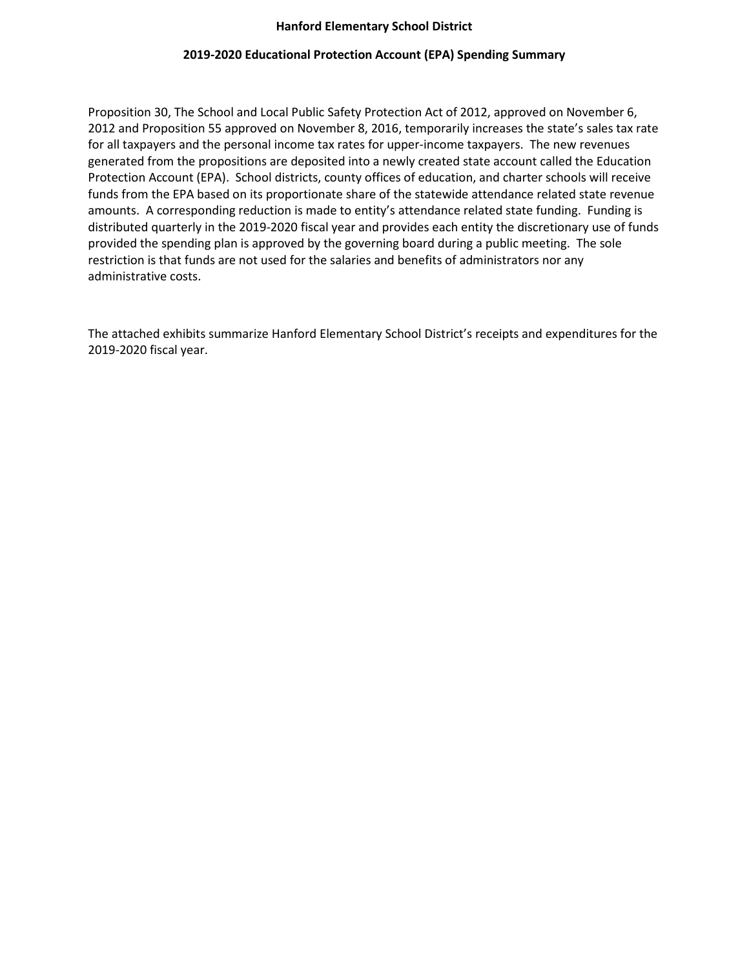## **Hanford Elementary School District**

## **2019-2020 Educational Protection Account (EPA) Spending Summary**

Proposition 30, The School and Local Public Safety Protection Act of 2012, approved on November 6, 2012 and Proposition 55 approved on November 8, 2016, temporarily increases the state's sales tax rate for all taxpayers and the personal income tax rates for upper-income taxpayers. The new revenues generated from the propositions are deposited into a newly created state account called the Education Protection Account (EPA). School districts, county offices of education, and charter schools will receive funds from the EPA based on its proportionate share of the statewide attendance related state revenue amounts. A corresponding reduction is made to entity's attendance related state funding. Funding is distributed quarterly in the 2019-2020 fiscal year and provides each entity the discretionary use of funds provided the spending plan is approved by the governing board during a public meeting. The sole restriction is that funds are not used for the salaries and benefits of administrators nor any administrative costs.

The attached exhibits summarize Hanford Elementary School District's receipts and expenditures for the 2019-2020 fiscal year.